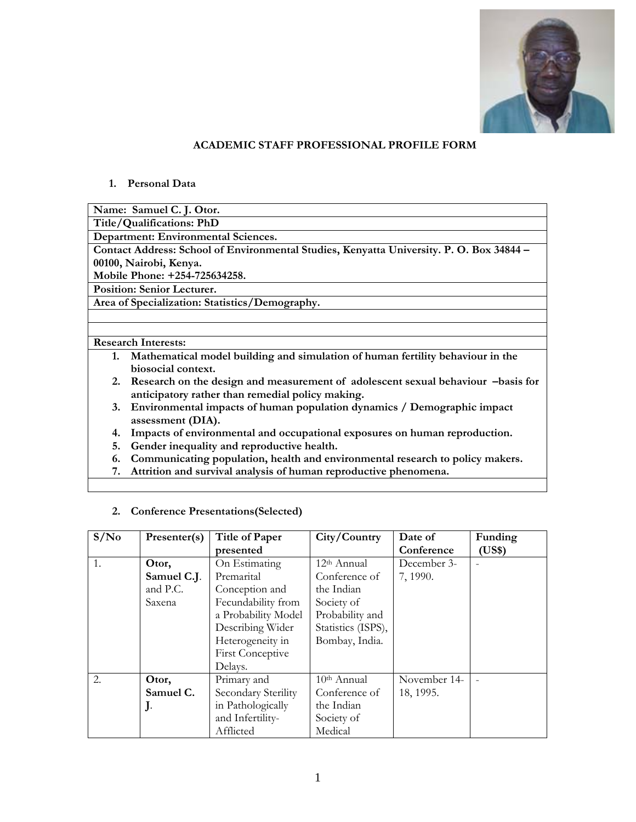

#### **ACADEMIC STAFF PROFESSIONAL PROFILE FORM**

#### **1. Personal Data**

**Name: Samuel C. J. Otor.** 

**Title/Qualifications: PhD** 

**Department: Environmental Sciences.** 

**Contact Address: School of Environmental Studies, Kenyatta University. P. O. Box 34844 – 00100, Nairobi, Kenya.** 

**Mobile Phone: +254-725634258.** 

**Position: Senior Lecturer.** 

**Area of Specialization: Statistics/Demography.** 

#### **Research Interests:**

- **1. Mathematical model building and simulation of human fertility behaviour in the biosocial context.**
- **2. Research on the design and measurement of adolescent sexual behaviour –basis for anticipatory rather than remedial policy making.**
- **3. Environmental impacts of human population dynamics / Demographic impact assessment (DIA).**
- **4. Impacts of environmental and occupational exposures on human reproduction.**
- **5. Gender inequality and reproductive health.**
- **6. Communicating population, health and environmental research to policy makers.**
- **7. Attrition and survival analysis of human reproductive phenomena.**

| S/N <sub>0</sub> | Presenter(s) | <b>Title of Paper</b>   | City/Country            | Date of      | Funding |
|------------------|--------------|-------------------------|-------------------------|--------------|---------|
|                  |              | presented               |                         | Conference   | (US\$)  |
| 1.               | Otor,        | On Estimating           | 12 <sup>th</sup> Annual | December 3-  |         |
|                  | Samuel C.J.  | Premarital              | Conference of           | 7, 1990.     |         |
|                  | and P.C.     | Conception and          | the Indian              |              |         |
|                  | Saxena       | Fecundability from      | Society of              |              |         |
|                  |              | a Probability Model     | Probability and         |              |         |
|                  |              | Describing Wider        | Statistics (ISPS),      |              |         |
|                  |              | Heterogeneity in        | Bombay, India.          |              |         |
|                  |              | <b>First Conceptive</b> |                         |              |         |
|                  |              | Delays.                 |                         |              |         |
| 2.               | Otor,        | Primary and             | $10th$ Annual           | November 14- |         |
|                  | Samuel C.    | Secondary Sterility     | Conference of           | 18, 1995.    |         |
|                  | J.           | in Pathologically       | the Indian              |              |         |
|                  |              | and Infertility-        | Society of              |              |         |
|                  |              | Afflicted               | Medical                 |              |         |

**2. Conference Presentations(Selected)**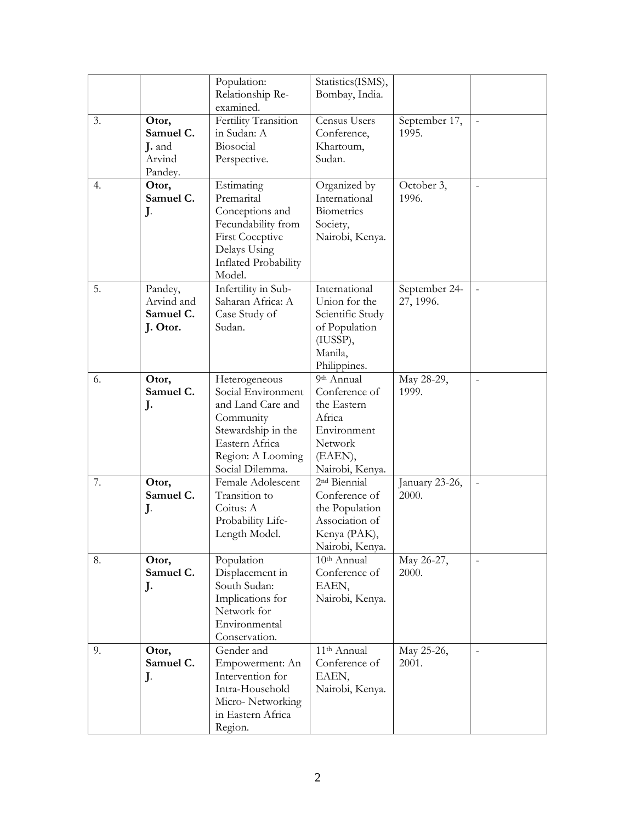|    |                                                   | Population:<br>Relationship Re-                                                                                                                       | Statistics(ISMS),<br>Bombay, India.                                                                                                   |                            |                |
|----|---------------------------------------------------|-------------------------------------------------------------------------------------------------------------------------------------------------------|---------------------------------------------------------------------------------------------------------------------------------------|----------------------------|----------------|
|    |                                                   | examined.                                                                                                                                             |                                                                                                                                       |                            |                |
| 3. | Otor,<br>Samuel C.<br>J. and<br>Arvind<br>Pandey. | Fertility Transition<br>in Sudan: A<br>Biosocial<br>Perspective.                                                                                      | Census Users<br>Conference,<br>Khartoum,<br>Sudan.                                                                                    | September 17,<br>1995.     | $\equiv$       |
| 4. | Otor,<br>Samuel C.<br>J.                          | Estimating<br>Premarital<br>Conceptions and<br>Fecundability from<br><b>First Coceptive</b><br>Delays Using<br>Inflated Probability<br>Model.         | Organized by<br>International<br>Biometrics<br>Society,<br>Nairobi, Kenya.                                                            | October 3,<br>1996.        |                |
| 5. | Pandey,<br>Arvind and<br>Samuel C.<br>J. Otor.    | Infertility in Sub-<br>Saharan Africa: A<br>Case Study of<br>Sudan.                                                                                   | International<br>Union for the<br>Scientific Study<br>of Population<br>(IUSSP),<br>Manila,<br>Philippines.                            | September 24-<br>27, 1996. | $\frac{1}{2}$  |
| 6. | Otor,<br>Samuel C.<br>J.                          | Heterogeneous<br>Social Environment<br>and Land Care and<br>Community<br>Stewardship in the<br>Eastern Africa<br>Region: A Looming<br>Social Dilemma. | $\overline{9}$ <sup>th</sup> Annual<br>Conference of<br>the Eastern<br>Africa<br>Environment<br>Network<br>(EAEN),<br>Nairobi, Kenya. | May 28-29,<br>1999.        | $\overline{a}$ |
| 7. | Otor,<br>Samuel C.<br>J.                          | Female Adolescent<br>Transition to<br>Coitus: A<br>Probability Life-<br>Length Model.                                                                 | 2 <sup>nd</sup> Biennial<br>Conference of<br>the Population<br>Association of<br>Kenya (PAK),<br>Nairobi, Kenya.                      | January 23-26,<br>2000.    | $\overline{a}$ |
| 8. | Otor,<br>Samuel C.<br>J.                          | Population<br>Displacement in<br>South Sudan:<br>Implications for<br>Network for<br>Environmental<br>Conservation.                                    | 10 <sup>th</sup> Annual<br>Conference of<br>EAEN,<br>Nairobi, Kenya.                                                                  | May 26-27,<br>2000.        | $\frac{1}{2}$  |
| 9. | Otor,<br>Samuel C.<br>J.                          | Gender and<br>Empowerment: An<br>Intervention for<br>Intra-Household<br>Micro-Networking<br>in Eastern Africa<br>Region.                              | 11 <sup>th</sup> Annual<br>Conference of<br>EAEN,<br>Nairobi, Kenya.                                                                  | May 25-26,<br>2001.        | $\overline{a}$ |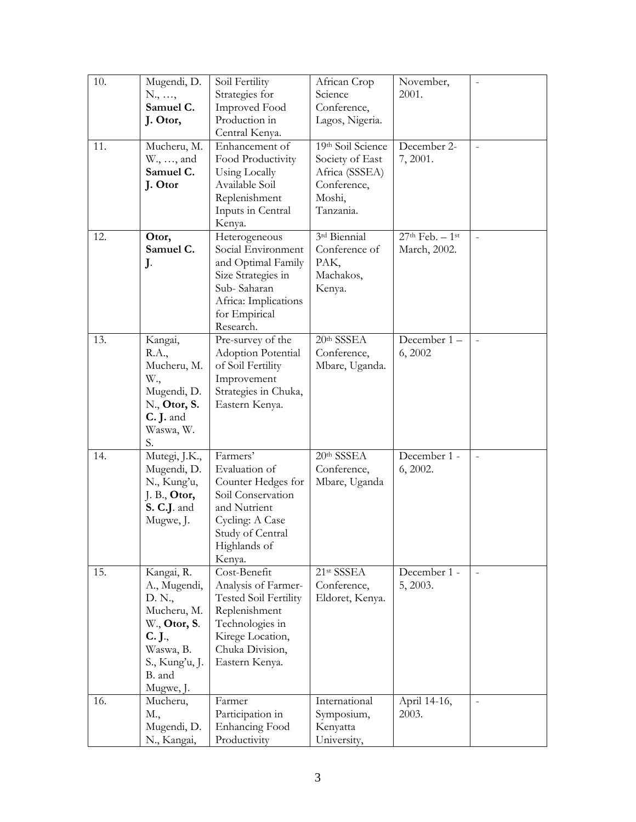| 10. | Mugendi, D.     | Soil Fertility               | African Crop      | November,          | $\overline{\phantom{0}}$ |
|-----|-----------------|------------------------------|-------------------|--------------------|--------------------------|
|     | N., ,           | Strategies for               | Science           | 2001.              |                          |
|     | Samuel C.       | Improved Food                | Conference,       |                    |                          |
|     | J. Otor,        | Production in                | Lagos, Nigeria.   |                    |                          |
|     |                 | Central Kenya.               |                   |                    |                          |
| 11. | Mucheru, M.     | Enhancement of               | 19th Soil Science | December 2-        | $\overline{\phantom{0}}$ |
|     | W., , and       | Food Productivity            | Society of East   | 7, 2001.           |                          |
|     | Samuel C.       | Using Locally                | Africa (SSSEA)    |                    |                          |
|     | J. Otor         | Available Soil               | Conference,       |                    |                          |
|     |                 | Replenishment                | Moshi,            |                    |                          |
|     |                 | Inputs in Central            | Tanzania.         |                    |                          |
|     |                 | Kenya.                       |                   |                    |                          |
| 12. | Otor,           | Heterogeneous                | 3rd Biennial      | $27th$ Feb. $-1st$ | $\overline{a}$           |
|     | Samuel C.       | Social Environment           | Conference of     | March, 2002.       |                          |
|     | J.              | and Optimal Family           | PAK,              |                    |                          |
|     |                 | Size Strategies in           | Machakos,         |                    |                          |
|     |                 | Sub-Saharan                  | Kenya.            |                    |                          |
|     |                 | Africa: Implications         |                   |                    |                          |
|     |                 | for Empirical                |                   |                    |                          |
|     |                 | Research.                    |                   |                    |                          |
| 13. | Kangai,         | Pre-survey of the            | 20th SSSEA        | December 1-        | $\overline{a}$           |
|     | R.A.,           | Adoption Potential           | Conference,       | 6, 2002            |                          |
|     | Mucheru, M.     | of Soil Fertility            | Mbare, Uganda.    |                    |                          |
|     | W.,             | Improvement                  |                   |                    |                          |
|     | Mugendi, D.     | Strategies in Chuka,         |                   |                    |                          |
|     | $N1$ , Otor, S. | Eastern Kenya.               |                   |                    |                          |
|     | C. J. and       |                              |                   |                    |                          |
|     | Waswa, W.       |                              |                   |                    |                          |
|     | S.              |                              |                   |                    |                          |
| 14. | Mutegi, J.K.,   | Farmers'                     | 20th SSSEA        | December 1 -       |                          |
|     | Mugendi, D.     | Evaluation of                | Conference,       | 6, 2002.           |                          |
|     | N., Kung'u,     | Counter Hedges for           | Mbare, Uganda     |                    |                          |
|     | $J. B.,$ Otor,  | Soil Conservation            |                   |                    |                          |
|     | S. C.J. and     | and Nutrient                 |                   |                    |                          |
|     | Mugwe, J.       | Cycling: A Case              |                   |                    |                          |
|     |                 | Study of Central             |                   |                    |                          |
|     |                 | Highlands of                 |                   |                    |                          |
|     |                 | Kenya.                       |                   |                    |                          |
| 15. | Kangai, R.      | Cost-Benefit                 | 21st SSSEA        | December 1 -       |                          |
|     | A., Mugendi,    | Analysis of Farmer-          | Conference,       | 5, 2003.           |                          |
|     | D. N.,          | <b>Tested Soil Fertility</b> | Eldoret, Kenya.   |                    |                          |
|     | Mucheru, M.     | Replenishment                |                   |                    |                          |
|     | W., Otor, S.    | Technologies in              |                   |                    |                          |
|     | C. J.,          | Kirege Location,             |                   |                    |                          |
|     | Waswa, B.       | Chuka Division,              |                   |                    |                          |
|     | S., Kung'u, J.  | Eastern Kenya.               |                   |                    |                          |
|     | B. and          |                              |                   |                    |                          |
|     | Mugwe, J.       |                              |                   |                    |                          |
| 16. | Mucheru,        | Farmer                       | International     | April 14-16,       | $\overline{\phantom{a}}$ |
|     | M.,             | Participation in             | Symposium,        | 2003.              |                          |
|     | Mugendi, D.     | <b>Enhancing Food</b>        | Kenyatta          |                    |                          |
|     | N., Kangai,     | Productivity                 | University,       |                    |                          |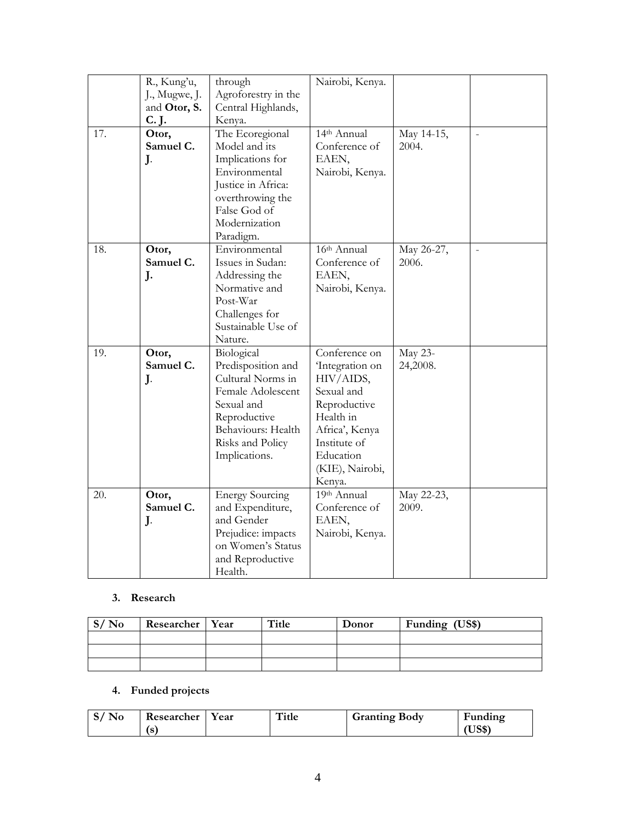|     | R., Kung'u,   | through                | Nairobi, Kenya. |            |                |
|-----|---------------|------------------------|-----------------|------------|----------------|
|     | J., Mugwe, J. | Agroforestry in the    |                 |            |                |
|     | and Otor, S.  | Central Highlands,     |                 |            |                |
|     | C. J.         | Kenya.                 |                 |            |                |
| 17. | Otor,         | The Ecoregional        | 14th Annual     | May 14-15, | $\overline{a}$ |
|     | Samuel C.     | Model and its          | Conference of   | 2004.      |                |
|     | J.            | Implications for       | EAEN,           |            |                |
|     |               | Environmental          | Nairobi, Kenya. |            |                |
|     |               | Justice in Africa:     |                 |            |                |
|     |               | overthrowing the       |                 |            |                |
|     |               | False God of           |                 |            |                |
|     |               | Modernization          |                 |            |                |
|     |               | Paradigm.              |                 |            |                |
| 18. | Otor,         | Environmental          | $16th$ Annual   | May 26-27, | $\frac{1}{2}$  |
|     | Samuel C.     | Issues in Sudan:       | Conference of   | 2006.      |                |
|     | J.            | Addressing the         | EAEN,           |            |                |
|     |               | Normative and          | Nairobi, Kenya. |            |                |
|     |               | Post-War               |                 |            |                |
|     |               | Challenges for         |                 |            |                |
|     |               | Sustainable Use of     |                 |            |                |
|     |               | Nature.                |                 |            |                |
| 19. | Otor,         | Biological             | Conference on   | May 23-    |                |
|     | Samuel C.     | Predisposition and     | Integration on  | 24,2008.   |                |
|     | J.            | Cultural Norms in      | HIV/AIDS,       |            |                |
|     |               | Female Adolescent      | Sexual and      |            |                |
|     |               | Sexual and             | Reproductive    |            |                |
|     |               | Reproductive           | Health in       |            |                |
|     |               | Behaviours: Health     | Africa', Kenya  |            |                |
|     |               | Risks and Policy       | Institute of    |            |                |
|     |               | Implications.          | Education       |            |                |
|     |               |                        | (KIE), Nairobi, |            |                |
|     |               |                        | Kenya.          |            |                |
| 20. | Otor,         | <b>Energy Sourcing</b> | $19th$ Annual   | May 22-23, |                |
|     | Samuel C.     | and Expenditure,       | Conference of   | 2009.      |                |
|     | J.            | and Gender             | EAEN,           |            |                |
|     |               | Prejudice: impacts     | Nairobi, Kenya. |            |                |
|     |               | on Women's Status      |                 |            |                |
|     |               | and Reproductive       |                 |            |                |
|     |               | Health.                |                 |            |                |

# **3. Research**

| S/N <sub>0</sub> | Researcher   Year | Title | Donor | Funding (US\$) |
|------------------|-------------------|-------|-------|----------------|
|                  |                   |       |       |                |
|                  |                   |       |       |                |
|                  |                   |       |       |                |

## **4. Funded projects**

| $S/N_0$ | Researcher | Year | Title | <b>Granting Body</b> | Funding |
|---------|------------|------|-------|----------------------|---------|
|         | (s         |      |       |                      | US\$)   |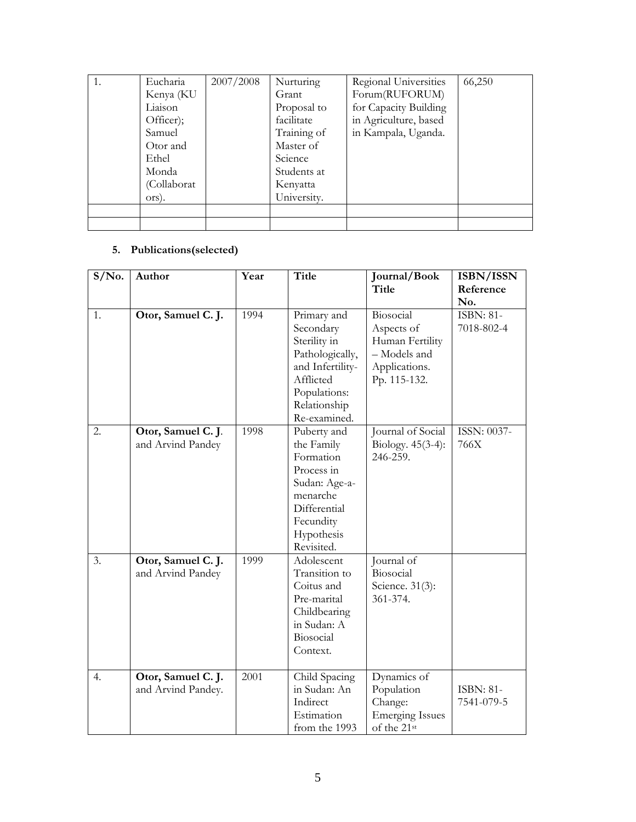| Eucharia    | 2007/2008 | Nurturing   | Regional Universities | 66,250 |
|-------------|-----------|-------------|-----------------------|--------|
| Kenya (KU   |           | Grant       | Forum(RUFORUM)        |        |
| Liaison     |           | Proposal to | for Capacity Building |        |
| Officer);   |           | facilitate  | in Agriculture, based |        |
| Samuel      |           | Training of | in Kampala, Uganda.   |        |
| Otor and    |           | Master of   |                       |        |
| Ethel       |           | Science     |                       |        |
| Monda       |           | Students at |                       |        |
| (Collaborat |           | Kenyatta    |                       |        |
| ors).       |           | University. |                       |        |
|             |           |             |                       |        |
|             |           |             |                       |        |

## **5. Publications(selected)**

| $S/N0$ . | Author                                   | Year | <b>Title</b>                                                                                                                                 | Journal/Book<br>Title                                                                       | ISBN/ISSN<br>Reference         |
|----------|------------------------------------------|------|----------------------------------------------------------------------------------------------------------------------------------------------|---------------------------------------------------------------------------------------------|--------------------------------|
| 1.       | Otor, Samuel C. J.                       | 1994 | Primary and<br>Secondary<br>Sterility in<br>Pathologically,<br>and Infertility-<br>Afflicted<br>Populations:<br>Relationship<br>Re-examined. | Biosocial<br>Aspects of<br>Human Fertility<br>- Models and<br>Applications.<br>Pp. 115-132. | No.<br>ISBN: 81-<br>7018-802-4 |
| 2.       | Otor, Samuel C. J.<br>and Arvind Pandey  | 1998 | Puberty and<br>the Family<br>Formation<br>Process in<br>Sudan: Age-a-<br>menarche<br>Differential<br>Fecundity<br>Hypothesis<br>Revisited.   | Journal of Social<br>Biology. $45(3-4)$ :<br>246-259.                                       | ISSN: 0037-<br>766X            |
| 3.       | Otor, Samuel C. J.<br>and Arvind Pandey  | 1999 | Adolescent<br>Transition to<br>Coitus and<br>Pre-marital<br>Childbearing<br>in Sudan: A<br>Biosocial<br>Context.                             | Journal of<br>Biosocial<br>Science. 31(3):<br>361-374.                                      |                                |
| 4.       | Otor, Samuel C. J.<br>and Arvind Pandey. | 2001 | Child Spacing<br>in Sudan: An<br>Indirect<br>Estimation<br>from the 1993                                                                     | Dynamics of<br>Population<br>Change:<br><b>Emerging Issues</b><br>of the 21st               | <b>ISBN: 81-</b><br>7541-079-5 |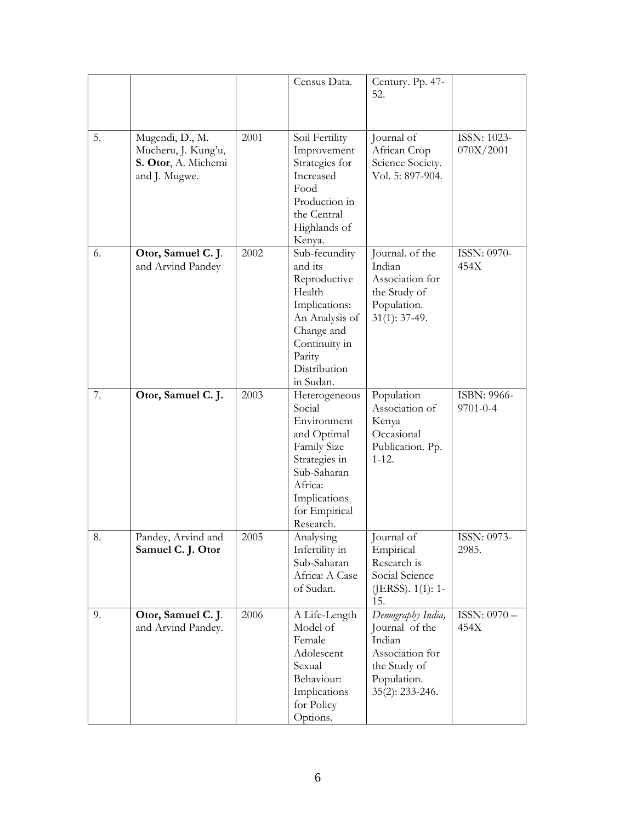|    |                                                                                |      | Census Data.                                                                                                                                                         | Century. Pp. 47-<br>52.                                                                                            |                          |
|----|--------------------------------------------------------------------------------|------|----------------------------------------------------------------------------------------------------------------------------------------------------------------------|--------------------------------------------------------------------------------------------------------------------|--------------------------|
| 5. | Mugendi, D., M.<br>Mucheru, J. Kung'u,<br>S. Otor, A. Michemi<br>and J. Mugwe. | 2001 | Soil Fertility<br>Improvement<br>Strategies for<br>Increased<br>Food<br>Production in<br>the Central<br>Highlands of<br>Kenya.                                       | Journal of<br>African Crop<br>Science Society.<br>Vol. 5: 897-904.                                                 | ISSN: 1023-<br>070X/2001 |
| 6. | Otor, Samuel C. J.<br>and Arvind Pandey                                        | 2002 | Sub-fecundity<br>and its<br>Reproductive<br>Health<br>Implications:<br>An Analysis of<br>Change and<br>Continuity in<br>Parity<br>Distribution<br>in Sudan.          | Journal. of the<br>Indian<br>Association for<br>the Study of<br>Population.<br>$31(1): 37-49.$                     | ISSN: 0970-<br>454X      |
| 7. | Otor, Samuel C. J.                                                             | 2003 | Heterogeneous<br>Social<br>Environment<br>and Optimal<br><b>Family Size</b><br>Strategies in<br>Sub-Saharan<br>Africa:<br>Implications<br>for Empirical<br>Research. | Population<br>Association of<br>Kenya<br>Occasional<br>Publication. Pp.<br>$1 - 12.$                               | ISBN: 9966-<br>9701-0-4  |
| 8. | Pandey, Arvind and<br>Samuel C. J. Otor                                        | 2005 | Analysing<br>Infertility in<br>Sub-Saharan<br>Africa: A Case<br>of Sudan.                                                                                            | Journal of<br>Empirical<br>Research is<br>Social Science<br>(JERSS). 1(1): 1-<br>15.                               | ISSN: 0973-<br>2985.     |
| 9. | Otor, Samuel C. J.<br>and Arvind Pandey.                                       | 2006 | A Life-Length<br>Model of<br>Female<br>Adolescent<br>Sexual<br>Behaviour:<br>Implications<br>for Policy<br>Options.                                                  | Demography India,<br>Journal of the<br>Indian<br>Association for<br>the Study of<br>Population.<br>35(2): 233-246. | ISSN: 0970-<br>454X      |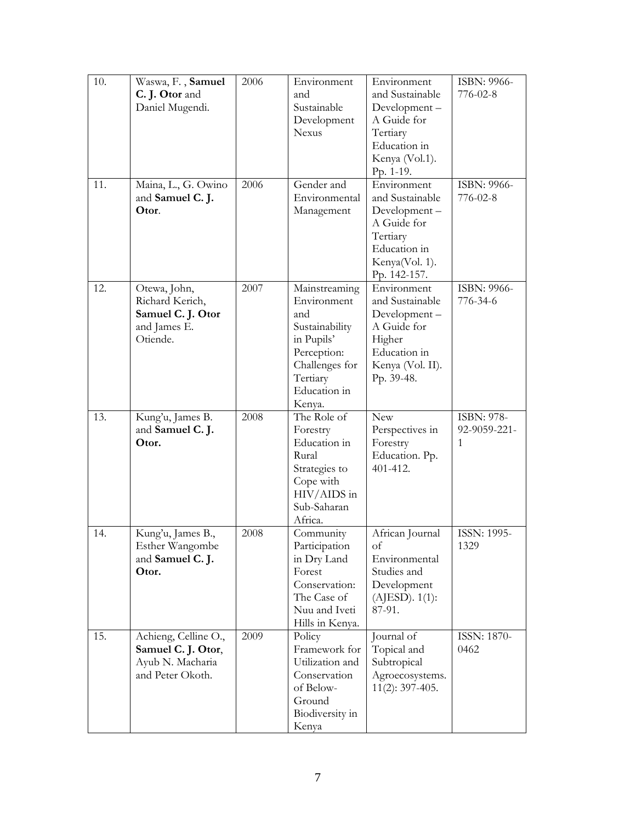| 10. | Waswa, F., Samuel<br>C. J. Otor and<br>Daniel Mugendi.                             | 2006<br>2006 | Environment<br>and<br>Sustainable<br>Development<br><b>Nexus</b>                                                                           | Environment<br>and Sustainable<br>Development-<br>A Guide for<br>Tertiary<br>Education in<br>Kenya (Vol.1).<br>Pp. 1-19.    | ISBN: 9966-<br>776-02-8         |
|-----|------------------------------------------------------------------------------------|--------------|--------------------------------------------------------------------------------------------------------------------------------------------|-----------------------------------------------------------------------------------------------------------------------------|---------------------------------|
| 11. | Maina, L., G. Owino<br>and Samuel C. J.<br>Otor.                                   |              | Gender and<br>Environmental<br>Management                                                                                                  | Environment<br>and Sustainable<br>Development-<br>A Guide for<br>Tertiary<br>Education in<br>Kenya(Vol. 1).<br>Pp. 142-157. | ISBN: 9966-<br>776-02-8         |
| 12. | Otewa, John,<br>Richard Kerich,<br>Samuel C. J. Otor<br>and James E.<br>Otiende.   | 2007         | Mainstreaming<br>Environment<br>and<br>Sustainability<br>in Pupils'<br>Perception:<br>Challenges for<br>Tertiary<br>Education in<br>Kenya. | Environment<br>and Sustainable<br>Development-<br>A Guide for<br>Higher<br>Education in<br>Kenya (Vol. II).<br>Pp. 39-48.   | ISBN: 9966-<br>776-34-6         |
| 13. | Kung'u, James B.<br>and Samuel C. J.<br>Otor.                                      | 2008         | The Role of<br>Forestry<br>Education in<br>Rural<br>Strategies to<br>Cope with<br>$HIV/AIDS$ in<br>Sub-Saharan<br>Africa.                  | <b>New</b><br>Perspectives in<br>Forestry<br>Education. Pp.<br>401-412.                                                     | ISBN: 978-<br>92-9059-221-<br>1 |
| 14. | Kung'u, James B.,<br>Esther Wangombe<br>and Samuel C. J.<br>Otor.                  | 2008         | Community<br>Participation<br>in Dry Land<br>Forest<br>Conservation:<br>The Case of<br>Nuu and Iveti<br>Hills in Kenya.                    | African Journal<br>οf<br>Environmental<br>Studies and<br>Development<br>$(AJESD)$ . $1(1)$ :<br>87-91.                      | ISSN: 1995-<br>1329             |
| 15. | Achieng, Celline O.,<br>Samuel C. J. Otor,<br>Ayub N. Macharia<br>and Peter Okoth. | 2009         | Policy<br>Framework for<br>Utilization and<br>Conservation<br>of Below-<br>Ground<br>Biodiversity in<br>Kenya                              | Journal of<br>Topical and<br>Subtropical<br>Agroecosystems.<br>$11(2): 397-405.$                                            | ISSN: 1870-<br>0462             |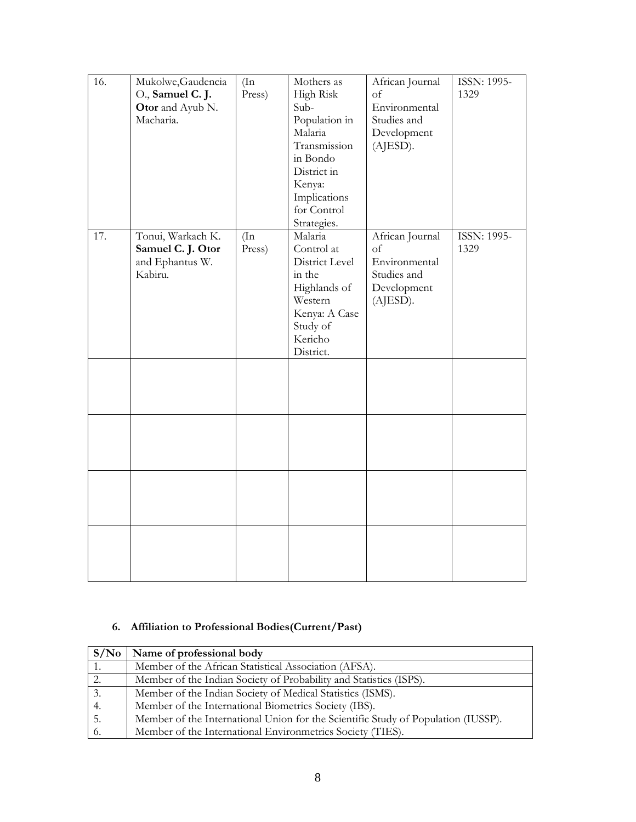| 16. | Mukolwe, Gaudencia<br>O., Samuel C. J.<br>Otor and Ayub N.<br>Macharia. | $(\ln)$<br>Press) | Mothers as<br>High Risk<br>Sub-<br>Population in<br>Malaria<br>Transmission<br>in Bondo<br>District in<br>Kenya:<br>Implications<br>for Control<br>Strategies. | African Journal<br>оf<br>Environmental<br>Studies and<br>Development<br>(AJESD). | ISSN: 1995-<br>1329        |
|-----|-------------------------------------------------------------------------|-------------------|----------------------------------------------------------------------------------------------------------------------------------------------------------------|----------------------------------------------------------------------------------|----------------------------|
| 17. | Tonui, Warkach K.<br>Samuel C. J. Otor<br>and Ephantus W.<br>Kabiru.    | (In<br>Press)     | Malaria<br>Control at<br>District Level<br>in the<br>Highlands of<br>Western<br>Kenya: A Case<br>Study of<br>Kericho<br>District.                              | African Journal<br>of<br>Environmental<br>Studies and<br>Development<br>(AJESD). | <b>ISSN: 1995-</b><br>1329 |
|     |                                                                         |                   |                                                                                                                                                                |                                                                                  |                            |
|     |                                                                         |                   |                                                                                                                                                                |                                                                                  |                            |
|     |                                                                         |                   |                                                                                                                                                                |                                                                                  |                            |
|     |                                                                         |                   |                                                                                                                                                                |                                                                                  |                            |

## **6. Affiliation to Professional Bodies(Current/Past)**

| S/No | Name of professional body                                                         |
|------|-----------------------------------------------------------------------------------|
| 1.   | Member of the African Statistical Association (AFSA).                             |
| 2.   | Member of the Indian Society of Probability and Statistics (ISPS).                |
| 3.   | Member of the Indian Society of Medical Statistics (ISMS).                        |
| 4.   | Member of the International Biometrics Society (IBS).                             |
| -5.  | Member of the International Union for the Scientific Study of Population (IUSSP). |
| -6.  | Member of the International Environmetrics Society (TIES).                        |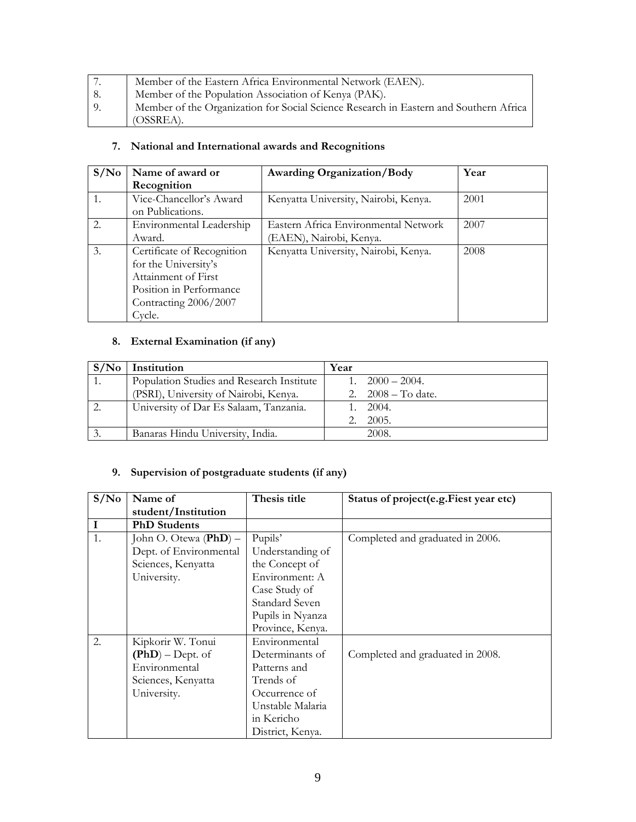| 7. | Member of the Eastern Africa Environmental Network (EAEN).                            |
|----|---------------------------------------------------------------------------------------|
| 8. | Member of the Population Association of Kenya (PAK).                                  |
| 9. | Member of the Organization for Social Science Research in Eastern and Southern Africa |
|    | $\sim$ (OSSREA).                                                                      |

# **7. National and International awards and Recognitions**

| S/N <sub>0</sub> | Name of award or           | <b>Awarding Organization/Body</b>    | Year |
|------------------|----------------------------|--------------------------------------|------|
|                  | Recognition                |                                      |      |
|                  | Vice-Chancellor's Award    | Kenyatta University, Nairobi, Kenya. | 2001 |
|                  | on Publications.           |                                      |      |
| 2.               | Environmental Leadership   | Eastern Africa Environmental Network | 2007 |
|                  | Award.                     | (EAEN), Nairobi, Kenya.              |      |
| 3.               | Certificate of Recognition | Kenyatta University, Nairobi, Kenya. | 2008 |
|                  | for the University's       |                                      |      |
|                  | Attainment of First        |                                      |      |
|                  | Position in Performance    |                                      |      |
|                  | Contracting 2006/2007      |                                      |      |
|                  | Cycle.                     |                                      |      |

## **8. External Examination (if any)**

| S/N <sub>0</sub> | Institution                               | Year |                         |
|------------------|-------------------------------------------|------|-------------------------|
|                  | Population Studies and Research Institute |      | $1. \quad 2000 - 2004.$ |
|                  | (PSRI), University of Nairobi, Kenya.     |      | 2. $2008 - To date.$    |
|                  | University of Dar Es Salaam, Tanzania.    |      | 1.2004.                 |
|                  |                                           |      | 2005.                   |
|                  | Banaras Hindu University, India.          |      | 2008.                   |

## **9. Supervision of postgraduate students (if any)**

| S/N <sub>0</sub> | Name of                 | Thesis title     | Status of project(e.g.Fiest year etc) |
|------------------|-------------------------|------------------|---------------------------------------|
|                  | student/Institution     |                  |                                       |
| $\mathbf I$      | <b>PhD</b> Students     |                  |                                       |
| 1.               | John O. Otewa $(PhD)$ – | Pupils'          | Completed and graduated in 2006.      |
|                  | Dept. of Environmental  | Understanding of |                                       |
|                  | Sciences, Kenyatta      | the Concept of   |                                       |
|                  | University.             | Environment: A   |                                       |
|                  |                         | Case Study of    |                                       |
|                  |                         | Standard Seven   |                                       |
|                  |                         | Pupils in Nyanza |                                       |
|                  |                         | Province, Kenya. |                                       |
| 2.               | Kipkorir W. Tonui       | Environmental    |                                       |
|                  | $(PhD)$ – Dept. of      | Determinants of  | Completed and graduated in 2008.      |
|                  | Environmental           | Patterns and     |                                       |
|                  | Sciences, Kenyatta      | Trends of        |                                       |
|                  | University.             | Occurrence of    |                                       |
|                  |                         | Unstable Malaria |                                       |
|                  |                         | in Kericho       |                                       |
|                  |                         | District, Kenya. |                                       |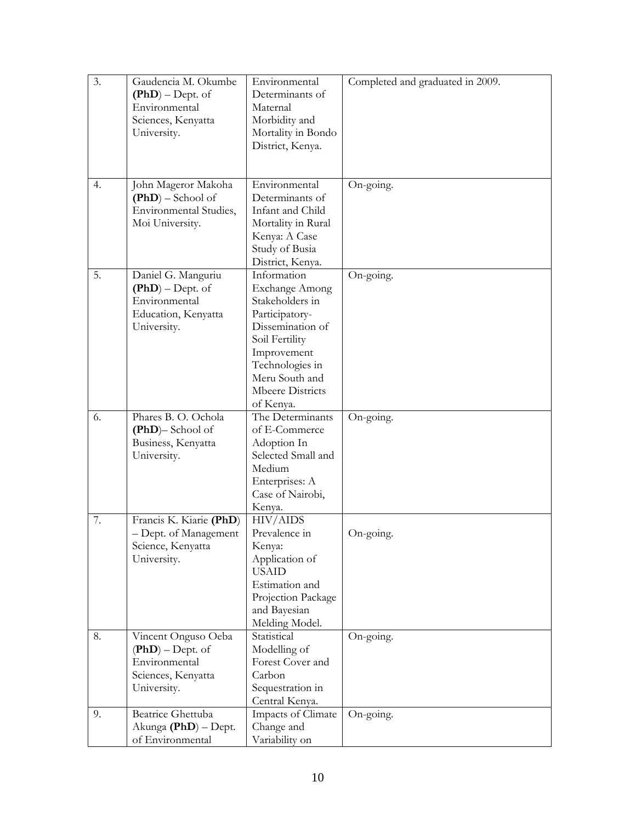| 3. | Gaudencia M. Okumbe      | Environmental         | Completed and graduated in 2009. |
|----|--------------------------|-----------------------|----------------------------------|
|    | $(PhD)$ – Dept. of       | Determinants of       |                                  |
|    | Environmental            | Maternal              |                                  |
|    | Sciences, Kenyatta       | Morbidity and         |                                  |
|    | University.              | Mortality in Bondo    |                                  |
|    |                          | District, Kenya.      |                                  |
|    |                          |                       |                                  |
|    |                          |                       |                                  |
| 4. | John Mageror Makoha      | Environmental         | On-going.                        |
|    | $(PhD)$ – School of      | Determinants of       |                                  |
|    | Environmental Studies,   | Infant and Child      |                                  |
|    | Moi University.          | Mortality in Rural    |                                  |
|    |                          | Kenya: A Case         |                                  |
|    |                          | Study of Busia        |                                  |
|    |                          | District, Kenya.      |                                  |
| 5. | Daniel G. Manguriu       | Information           | On-going.                        |
|    | $(PhD)$ – Dept. of       | <b>Exchange Among</b> |                                  |
|    | Environmental            | Stakeholders in       |                                  |
|    | Education, Kenyatta      | Participatory-        |                                  |
|    | University.              | Dissemination of      |                                  |
|    |                          | Soil Fertility        |                                  |
|    |                          | Improvement           |                                  |
|    |                          | Technologies in       |                                  |
|    |                          | Meru South and        |                                  |
|    |                          | Mbeere Districts      |                                  |
|    |                          | of Kenya.             |                                  |
| 6. | Phares B. O. Ochola      | The Determinants      | On-going.                        |
|    | $(PhD)$ – School of      | of E-Commerce         |                                  |
|    | Business, Kenyatta       | Adoption In           |                                  |
|    | University.              | Selected Small and    |                                  |
|    |                          | Medium                |                                  |
|    |                          | Enterprises: A        |                                  |
|    |                          | Case of Nairobi,      |                                  |
|    |                          | Kenya.                |                                  |
| 7. | Francis K. Kiarie (PhD)  | HIV/AIDS              |                                  |
|    | - Dept. of Management    | Prevalence in         | On-going.                        |
|    | Science, Kenyatta        | Kenya:                |                                  |
|    | University.              | Application of        |                                  |
|    |                          | <b>USAID</b>          |                                  |
|    |                          | Estimation and        |                                  |
|    |                          | Projection Package    |                                  |
|    |                          | and Bayesian          |                                  |
|    |                          | Melding Model.        |                                  |
| 8. | Vincent Onguso Oeba      | Statistical           | On-going.                        |
|    | $(PhD) - Dept.$ of       | Modelling of          |                                  |
|    | Environmental            | Forest Cover and      |                                  |
|    | Sciences, Kenyatta       | Carbon                |                                  |
|    | University.              | Sequestration in      |                                  |
|    |                          | Central Kenya.        |                                  |
| 9. | <b>Beatrice Ghettuba</b> | Impacts of Climate    | On-going.                        |
|    | Akunga (PhD) - Dept.     | Change and            |                                  |
|    | of Environmental         | Variability on        |                                  |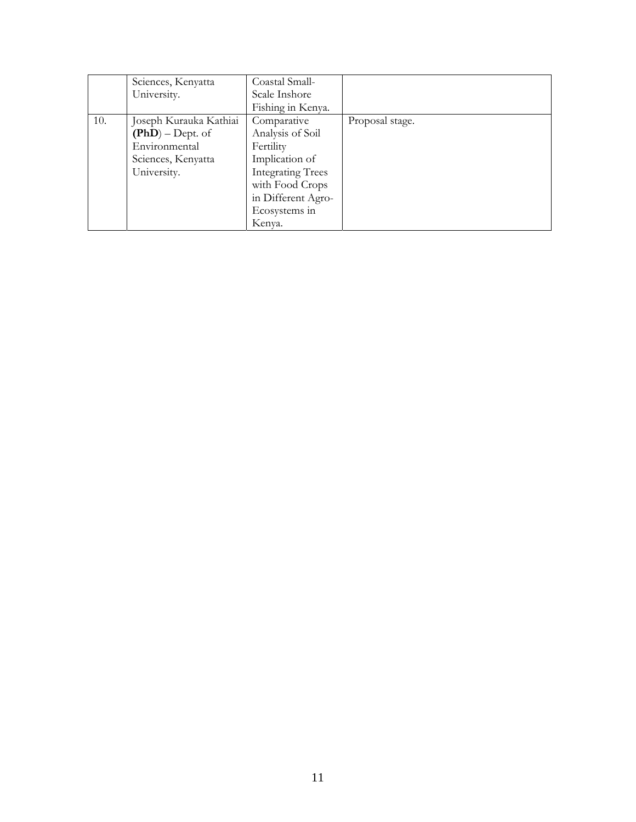|     | Sciences, Kenyatta     | Coastal Small-           |                 |
|-----|------------------------|--------------------------|-----------------|
|     | University.            | Scale Inshore            |                 |
|     |                        | Fishing in Kenya.        |                 |
| 10. | Joseph Kurauka Kathiai | Comparative              | Proposal stage. |
|     | $(PhD)$ – Dept. of     | Analysis of Soil         |                 |
|     | Environmental          | Fertility                |                 |
|     | Sciences, Kenyatta     | Implication of           |                 |
|     | University.            | <b>Integrating Trees</b> |                 |
|     |                        | with Food Crops          |                 |
|     |                        | in Different Agro-       |                 |
|     |                        | Ecosystems in            |                 |
|     |                        | Kenva.                   |                 |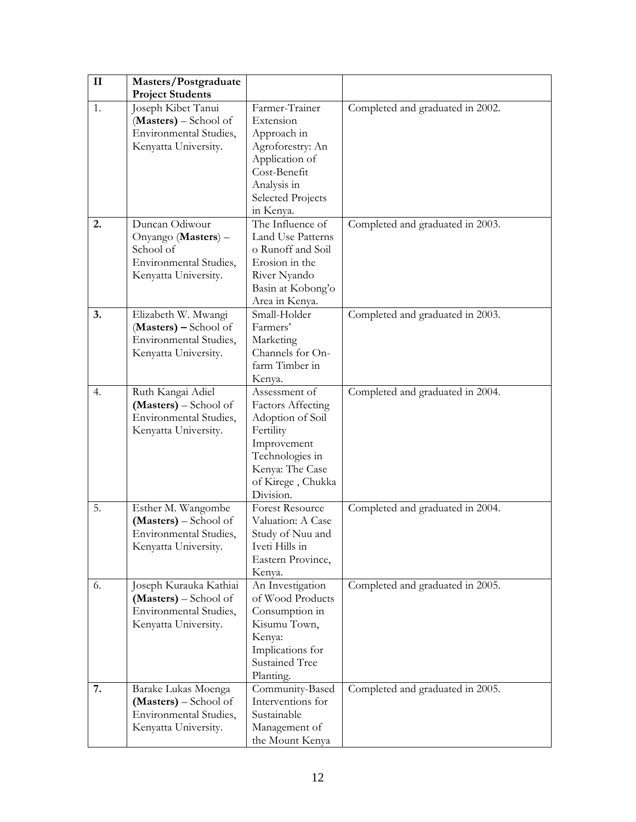| $\mathbf{I}$ | Masters/Postgraduate    |                          |                                  |
|--------------|-------------------------|--------------------------|----------------------------------|
|              | <b>Project Students</b> |                          |                                  |
| 1.           | Joseph Kibet Tanui      | Farmer-Trainer           | Completed and graduated in 2002. |
|              | (Masters) – School of   | Extension                |                                  |
|              | Environmental Studies,  | Approach in              |                                  |
|              | Kenyatta University.    | Agroforestry: An         |                                  |
|              |                         | Application of           |                                  |
|              |                         | Cost-Benefit             |                                  |
|              |                         | Analysis in              |                                  |
|              |                         | <b>Selected Projects</b> |                                  |
|              |                         | in Kenya.                |                                  |
| 2.           | Duncan Odiwour          | The Influence of         | Completed and graduated in 2003. |
|              | Onyango (Masters) -     | Land Use Patterns        |                                  |
|              | School of               | o Runoff and Soil        |                                  |
|              | Environmental Studies,  | Erosion in the           |                                  |
|              | Kenyatta University.    | River Nyando             |                                  |
|              |                         | Basin at Kobong'o        |                                  |
|              |                         | Area in Kenya.           |                                  |
| 3.           | Elizabeth W. Mwangi     | Small-Holder             | Completed and graduated in 2003. |
|              | (Masters) - School of   | Farmers'                 |                                  |
|              | Environmental Studies,  | Marketing                |                                  |
|              | Kenyatta University.    | Channels for On-         |                                  |
|              |                         | farm Timber in           |                                  |
|              |                         | Kenya.                   |                                  |
| 4.           | Ruth Kangai Adiel       | Assessment of            | Completed and graduated in 2004. |
|              | (Masters) – School of   | <b>Factors Affecting</b> |                                  |
|              | Environmental Studies,  | Adoption of Soil         |                                  |
|              | Kenyatta University.    | Fertility                |                                  |
|              |                         | Improvement              |                                  |
|              |                         | Technologies in          |                                  |
|              |                         | Kenya: The Case          |                                  |
|              |                         | of Kirege, Chukka        |                                  |
|              |                         | Division.                |                                  |
| 5.           | Esther M. Wangombe      | <b>Forest Resource</b>   | Completed and graduated in 2004. |
|              | (Masters) - School of   | Valuation: A Case        |                                  |
|              | Environmental Studies,  | Study of Nuu and         |                                  |
|              | Kenyatta University.    | Iveti Hills in           |                                  |
|              |                         | Eastern Province,        |                                  |
|              |                         | Kenya.                   |                                  |
| 6.           | Joseph Kurauka Kathiai  | An Investigation         | Completed and graduated in 2005. |
|              | (Masters) – School of   | of Wood Products         |                                  |
|              | Environmental Studies,  | Consumption in           |                                  |
|              | Kenyatta University.    | Kisumu Town,             |                                  |
|              |                         | Kenya:                   |                                  |
|              |                         | Implications for         |                                  |
|              |                         | <b>Sustained Tree</b>    |                                  |
|              |                         | Planting.                |                                  |
| 7.           | Barake Lukas Moenga     | Community-Based          | Completed and graduated in 2005. |
|              | (Masters) – School of   | Interventions for        |                                  |
|              | Environmental Studies,  | Sustainable              |                                  |
|              | Kenyatta University.    | Management of            |                                  |
|              |                         | the Mount Kenya          |                                  |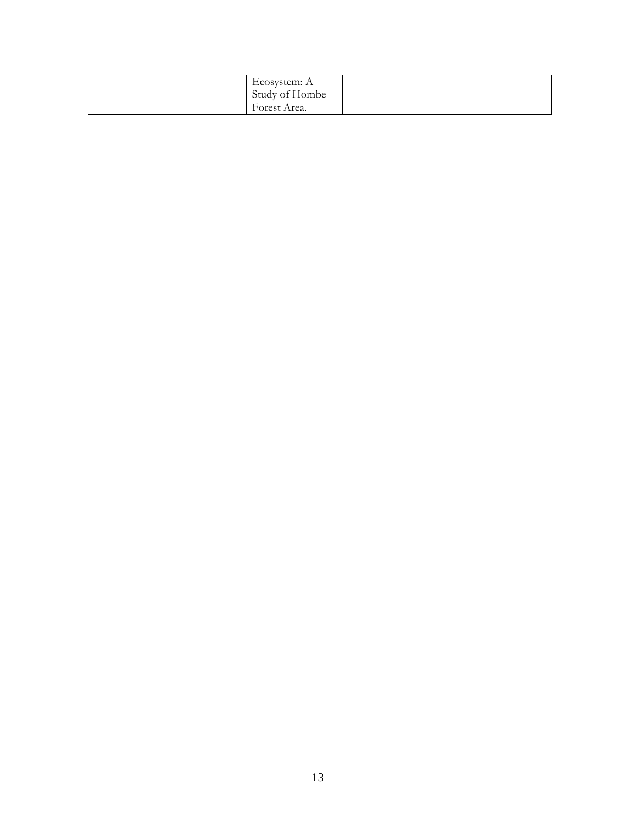| Ecosystem: A<br>Study of Hombe<br>Forest Area. |  |
|------------------------------------------------|--|
|------------------------------------------------|--|